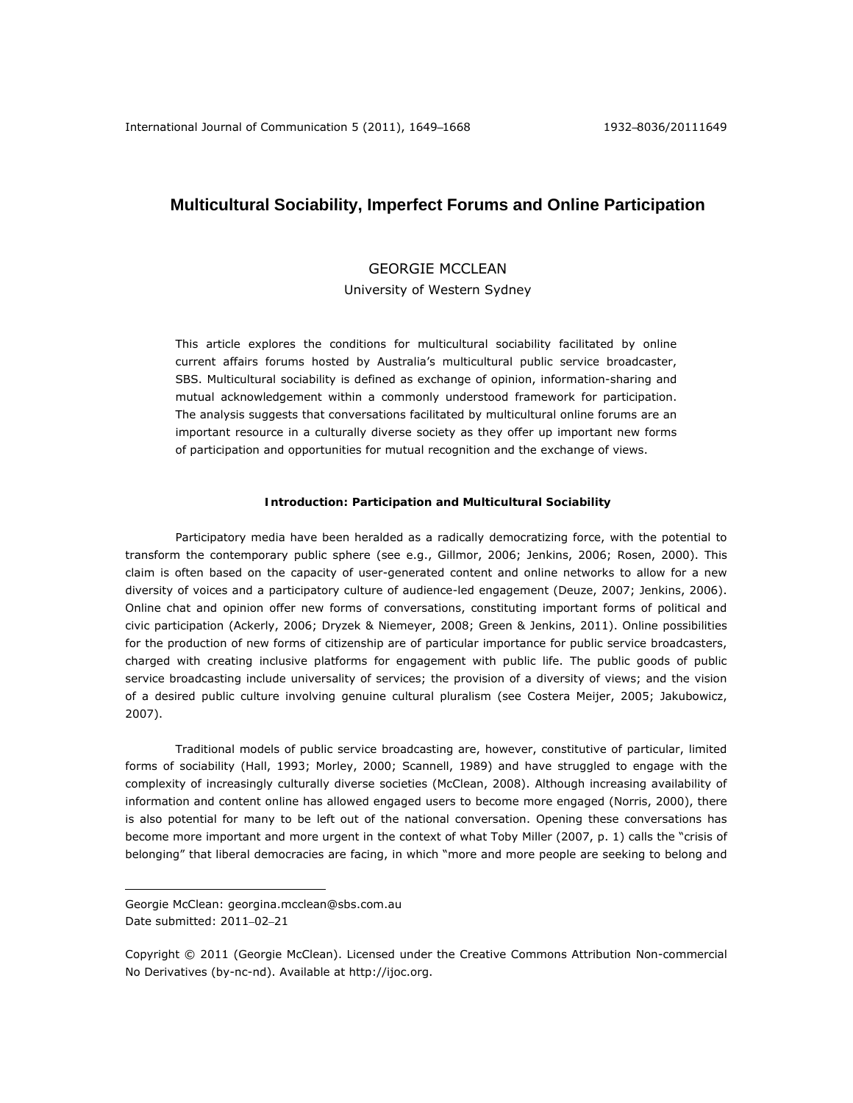# **Multicultural Sociability, Imperfect Forums and Online Participation**

# GEORGIE MCCLEAN

University of Western Sydney

This article explores the conditions for multicultural sociability facilitated by online current affairs forums hosted by Australia's multicultural public service broadcaster, SBS. Multicultural sociability is defined as exchange of opinion, information-sharing and mutual acknowledgement within a commonly understood framework for participation. The analysis suggests that conversations facilitated by multicultural online forums are an important resource in a culturally diverse society as they offer up important new forms of participation and opportunities for mutual recognition and the exchange of views.

#### **Introduction: Participation and Multicultural Sociability**

Participatory media have been heralded as a radically democratizing force, with the potential to transform the contemporary public sphere (see e.g., Gillmor, 2006; Jenkins, 2006; Rosen, 2000). This claim is often based on the capacity of user-generated content and online networks to allow for a new diversity of voices and a participatory culture of audience-led engagement (Deuze, 2007; Jenkins, 2006). Online chat and opinion offer new forms of conversations, constituting important forms of political and civic participation (Ackerly, 2006; Dryzek & Niemeyer, 2008; Green & Jenkins, 2011). Online possibilities for the production of new forms of citizenship are of particular importance for public service broadcasters, charged with creating inclusive platforms for engagement with public life. The public goods of public service broadcasting include universality of services; the provision of a diversity of views; and the vision of a desired public culture involving genuine cultural pluralism (see Costera Meijer, 2005; Jakubowicz, 2007).

Traditional models of public service broadcasting are, however, constitutive of particular, limited forms of sociability (Hall, 1993; Morley, 2000; Scannell, 1989) and have struggled to engage with the complexity of increasingly culturally diverse societies (McClean, 2008). Although increasing availability of information and content online has allowed engaged users to become more engaged (Norris, 2000), there is also potential for many to be left out of the national conversation. Opening these conversations has become more important and more urgent in the context of what Toby Miller (2007, p. 1) calls the "crisis of belonging" that liberal democracies are facing, in which "more and more people are seeking to belong and

 $\overline{a}$ 

Georgie McClean: georgina.mcclean@sbs.com.au Date submitted: 2011–02–21

Copyright © 2011 (Georgie McClean). Licensed under the Creative Commons Attribution Non-commercial No Derivatives (by-nc-nd). Available at http://ijoc.org.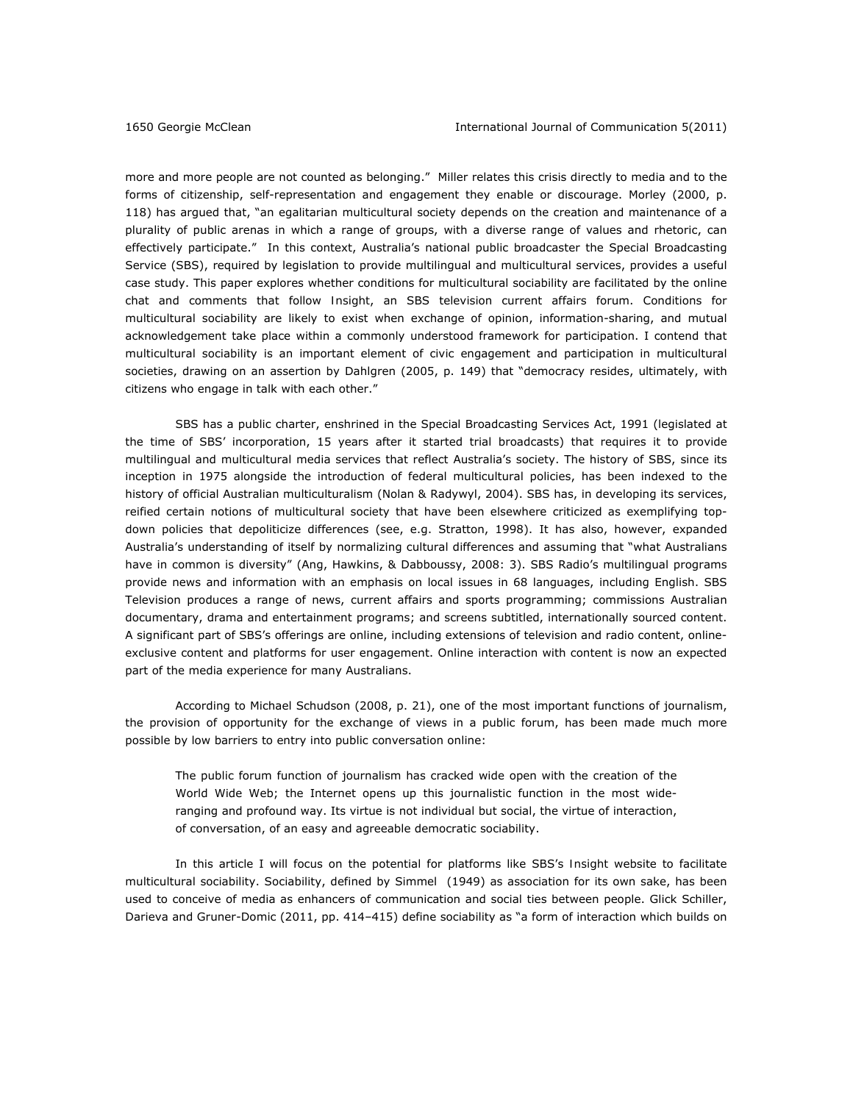more and more people are not counted as belonging." Miller relates this crisis directly to media and to the forms of citizenship, self-representation and engagement they enable or discourage. Morley (2000, p. 118) has argued that, "an egalitarian multicultural society depends on the creation and maintenance of a plurality of public arenas in which a range of groups, with a diverse range of values and rhetoric, can effectively participate." In this context, Australia's national public broadcaster the Special Broadcasting Service (SBS), required by legislation to provide multilingual and multicultural services, provides a useful case study. This paper explores whether conditions for multicultural sociability are facilitated by the online chat and comments that follow *Insight*, an SBS television current affairs forum. Conditions for multicultural sociability are likely to exist when exchange of opinion, information-sharing, and mutual acknowledgement take place within a commonly understood framework for participation. I contend that multicultural sociability is an important element of civic engagement and participation in multicultural societies, drawing on an assertion by Dahlgren (2005, p. 149) that "democracy resides, ultimately, with citizens who engage in talk with each other."

SBS has a public charter, enshrined in the Special Broadcasting Services Act, 1991 (legislated at the time of SBS' incorporation, 15 years after it started trial broadcasts) that requires it to provide multilingual and multicultural media services that reflect Australia's society. The history of SBS, since its inception in 1975 alongside the introduction of federal multicultural policies, has been indexed to the history of official Australian multiculturalism (Nolan & Radywyl, 2004). SBS has, in developing its services, reified certain notions of multicultural society that have been elsewhere criticized as exemplifying topdown policies that depoliticize differences (see, e.g. Stratton, 1998). It has also, however, expanded Australia's understanding of itself by normalizing cultural differences and assuming that "what Australians have in common *is* diversity" (Ang, Hawkins, & Dabboussy, 2008: 3). SBS Radio's multilingual programs provide news and information with an emphasis on local issues in 68 languages, including English. SBS Television produces a range of news, current affairs and sports programming; commissions Australian documentary, drama and entertainment programs; and screens subtitled, internationally sourced content. A significant part of SBS's offerings are online, including extensions of television and radio content, onlineexclusive content and platforms for user engagement. Online interaction with content is now an expected part of the media experience for many Australians.

According to Michael Schudson (2008, p. 21), one of the most important functions of journalism, the provision of opportunity for the exchange of views in a public forum, has been made much more possible by low barriers to entry into public conversation online:

The public forum function of journalism has cracked wide open with the creation of the World Wide Web; the Internet opens up this journalistic function in the most wideranging and profound way. Its virtue is not individual but social, the virtue of interaction, of conversation, of an easy and agreeable democratic sociability.

In this article I will focus on the potential for platforms like SBS's *Insight* website to facilitate multicultural sociability. Sociability, defined by Simmel (1949) as association for its own sake, has been used to conceive of media as enhancers of communication and social ties between people. Glick Schiller, Darieva and Gruner-Domic (2011, pp. 414–415) define sociability as "a form of interaction which builds on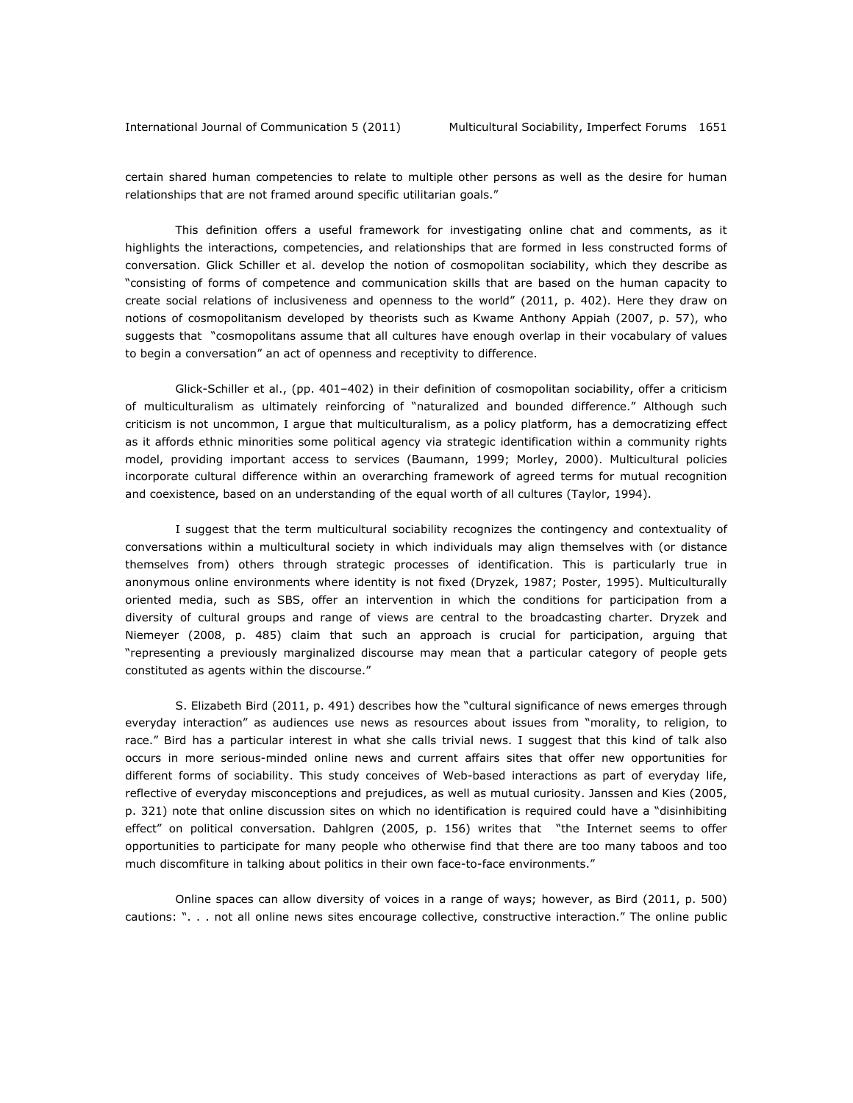certain shared human competencies to relate to multiple other persons as well as the desire for human relationships that are not framed around specific utilitarian goals."

This definition offers a useful framework for investigating online chat and comments, as it highlights the interactions, competencies, and relationships that are formed in less constructed forms of conversation. Glick Schiller et al. develop the notion of cosmopolitan sociability, which they describe as "consisting of forms of competence and communication skills that are based on the human capacity to create social relations of inclusiveness and openness to the world" (2011, p. 402). Here they draw on notions of cosmopolitanism developed by theorists such as Kwame Anthony Appiah (2007, p. 57), who suggests that "cosmopolitans assume that all cultures have enough overlap in their vocabulary of values to begin a conversation" an act of openness and receptivity to difference.

Glick-Schiller et al., (pp. 401–402) in their definition of cosmopolitan sociability, offer a criticism of multiculturalism as ultimately reinforcing of "naturalized and bounded difference." Although such criticism is not uncommon, I argue that multiculturalism, as a policy platform, has a democratizing effect as it affords ethnic minorities some political agency via strategic identification within a community rights model, providing important access to services (Baumann, 1999; Morley, 2000). Multicultural policies incorporate cultural difference within an overarching framework of agreed terms for mutual recognition and coexistence, based on an understanding of the equal worth of all cultures (Taylor, 1994).

I suggest that the term multicultural sociability recognizes the contingency and contextuality of conversations within a multicultural society in which individuals may align themselves with (or distance themselves from) others through strategic processes of identification. This is particularly true in anonymous online environments where identity is not fixed (Dryzek, 1987; Poster, 1995). Multiculturally oriented media, such as SBS, offer an intervention in which the conditions for participation from a diversity of cultural groups and range of views are central to the broadcasting charter. Dryzek and Niemeyer (2008, p. 485) claim that such an approach is crucial for participation, arguing that "representing a previously marginalized discourse may mean that a particular category of people gets constituted as agents within the discourse."

S. Elizabeth Bird (2011, p. 491) describes how the "cultural significance of news emerges through everyday interaction" as audiences use news as resources about issues from "morality, to religion, to race." Bird has a particular interest in what she calls trivial news. I suggest that this kind of talk also occurs in more serious-minded online news and current affairs sites that offer new opportunities for different forms of sociability. This study conceives of Web-based interactions as part of everyday life, reflective of everyday misconceptions and prejudices, as well as mutual curiosity. Janssen and Kies (2005, p. 321) note that online discussion sites on which no identification is required could have a "disinhibiting effect" on political conversation. Dahlgren (2005, p. 156) writes that "the Internet seems to offer opportunities to participate for many people who otherwise find that there are too many taboos and too much discomfiture in talking about politics in their own face-to-face environments."

Online spaces can allow diversity of voices in a range of ways; however, as Bird (2011, p. 500) cautions: ". . . not all online news sites encourage collective, constructive interaction." The online public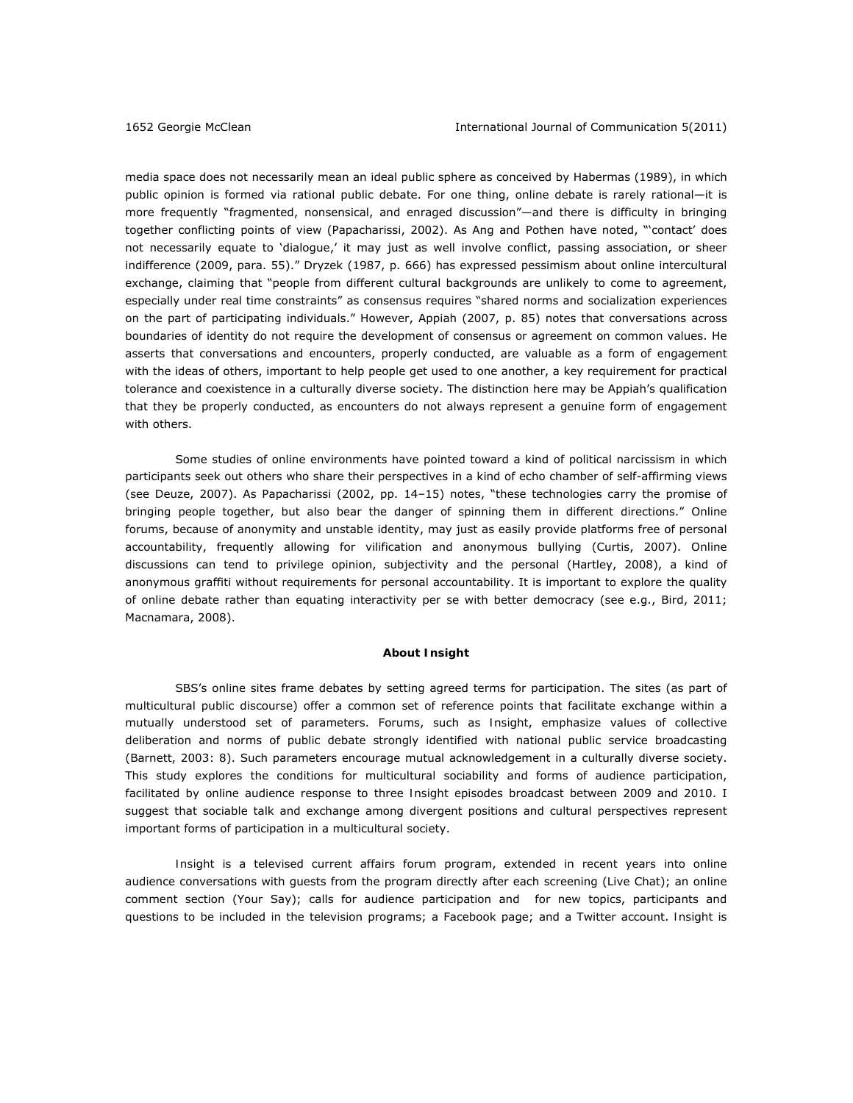media space does not necessarily mean an ideal public sphere as conceived by Habermas (1989), in which public opinion is formed via rational public debate. For one thing, online debate is rarely rational—it is more frequently "fragmented, nonsensical, and enraged discussion"—and there is difficulty in bringing together conflicting points of view (Papacharissi, 2002). As Ang and Pothen have noted, "'contact' does not necessarily equate to 'dialogue,' it may just as well involve conflict, passing association, or sheer indifference (2009, para. 55)." Dryzek (1987, p. 666) has expressed pessimism about online intercultural exchange, claiming that "people from different cultural backgrounds are unlikely to come to agreement, especially under real time constraints" as consensus requires "shared norms and socialization experiences on the part of participating individuals." However, Appiah (2007, p. 85) notes that conversations across boundaries of identity do not require the development of consensus or agreement on common values. He asserts that conversations and encounters, properly conducted, are valuable as a form of engagement with the ideas of others, important to help people get used to one another, a key requirement for practical tolerance and coexistence in a culturally diverse society. The distinction here may be Appiah's qualification that they be properly conducted, as encounters do not always represent a genuine form of engagement with others.

Some studies of online environments have pointed toward a kind of political narcissism in which participants seek out others who share their perspectives in a kind of echo chamber of self-affirming views (see Deuze, 2007). As Papacharissi (2002, pp. 14–15) notes, "these technologies carry the promise of bringing people together, but also bear the danger of spinning them in different directions." Online forums, because of anonymity and unstable identity, may just as easily provide platforms free of personal accountability, frequently allowing for vilification and anonymous bullying (Curtis, 2007). Online discussions can tend to privilege opinion, subjectivity and the personal (Hartley, 2008), a kind of anonymous graffiti without requirements for personal accountability. It is important to explore the quality of online debate rather than equating interactivity *per se* with better democracy (see e.g., Bird, 2011; Macnamara, 2008).

#### **About** *Insight*

SBS's online sites frame debates by setting agreed terms for participation. The sites (as part of multicultural public discourse) offer a common set of reference points that facilitate exchange within a mutually understood set of parameters. Forums, such as *Insight*, emphasize values of collective deliberation and norms of public debate strongly identified with national public service broadcasting (Barnett, 2003: 8). Such parameters encourage mutual acknowledgement in a culturally diverse society. This study explores the conditions for multicultural sociability and forms of audience participation, facilitated by online audience response to three *Insight* episodes broadcast between 2009 and 2010. I suggest that sociable talk and exchange among divergent positions and cultural perspectives represent important forms of participation in a multicultural society.

*Insight* is a televised current affairs forum program, extended in recent years into online audience conversations with guests from the program directly after each screening (Live Chat); an online comment section (Your Say); calls for audience participation and for new topics, participants and questions to be included in the television programs; a Facebook page; and a Twitter account. *Insight* is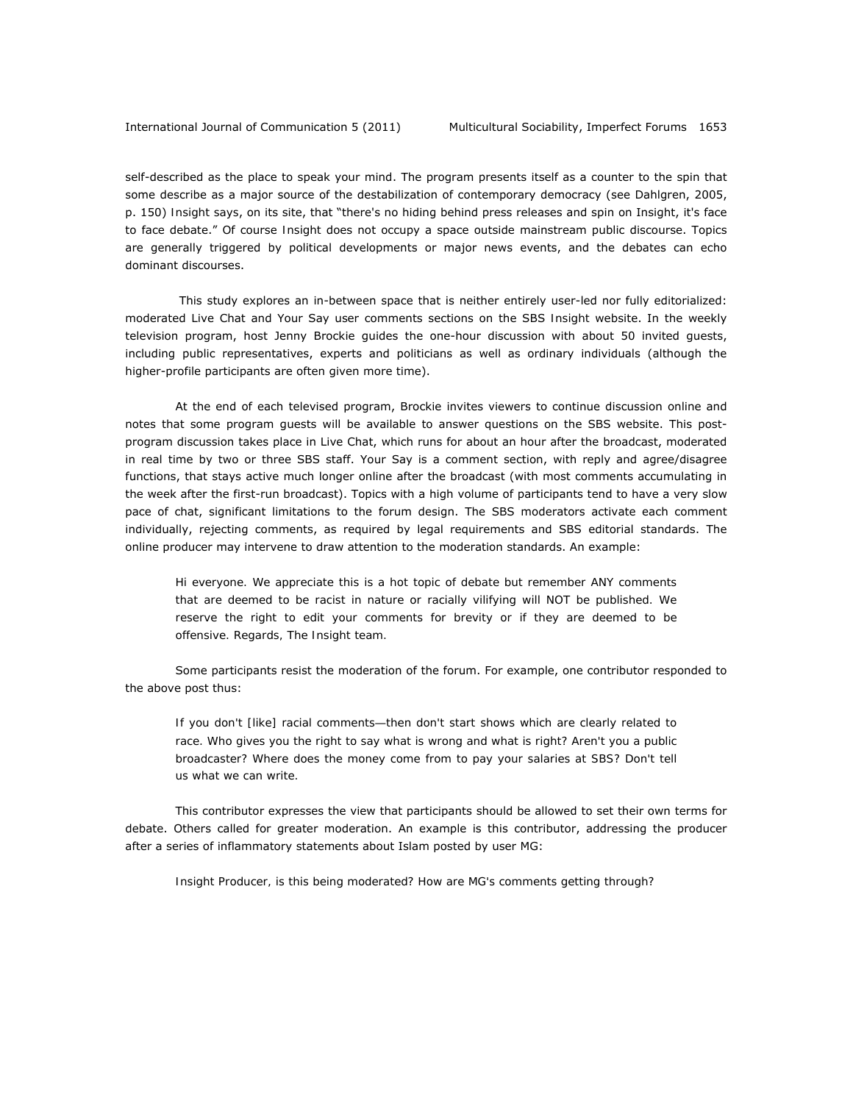self-described as the place to speak your mind. The program presents itself as a counter to the spin that some describe as a major source of the destabilization of contemporary democracy (see Dahlgren, 2005, p. 150) *Insight says*, on its site, that "there's no hiding behind press releases and spin on Insight, it's face to face debate." Of course *Insight* does not occupy a space outside mainstream public discourse. Topics are generally triggered by political developments or major news events, and the debates can echo dominant discourses.

 This study explores an in-between space that is neither entirely user-led nor fully editorialized: moderated Live Chat and Your Say user comments sections on the SBS *Insight* website. In the weekly television program, host Jenny Brockie guides the one-hour discussion with about 50 invited guests, including public representatives, experts and politicians as well as ordinary individuals (although the higher-profile participants are often given more time).

At the end of each televised program, Brockie invites viewers to continue discussion online and notes that some program guests will be available to answer questions on the SBS website. This postprogram discussion takes place in Live Chat, which runs for about an hour after the broadcast, moderated in real time by two or three SBS staff. Your Say is a comment section, with reply and agree/disagree functions, that stays active much longer online after the broadcast (with most comments accumulating in the week after the first-run broadcast). Topics with a high volume of participants tend to have a very slow pace of chat, significant limitations to the forum design. The SBS moderators activate each comment individually, rejecting comments, as required by legal requirements and SBS editorial standards. The online producer may intervene to draw attention to the moderation standards. An example:

*Hi everyone. We appreciate this is a hot topic of debate but remember ANY comments that are deemed to be racist in nature or racially vilifying will NOT be published. We reserve the right to edit your comments for brevity or if they are deemed to be offensive. Regards, The Insight team.* 

Some participants resist the moderation of the forum. For example, one contributor responded to the above post thus:

*If you don't [like] racial comments―then don't start shows which are clearly related to race. Who gives you the right to say what is wrong and what is right? Aren't you a public broadcaster? Where does the money come from to pay your salaries at SBS? Don't tell us what we can write.* 

This contributor expresses the view that participants should be allowed to set their own terms for debate. Others called for greater moderation. An example is this contributor, addressing the producer after a series of inflammatory statements about Islam posted by user MG:

*Insight Producer, is this being moderated? How are MG's comments getting through?*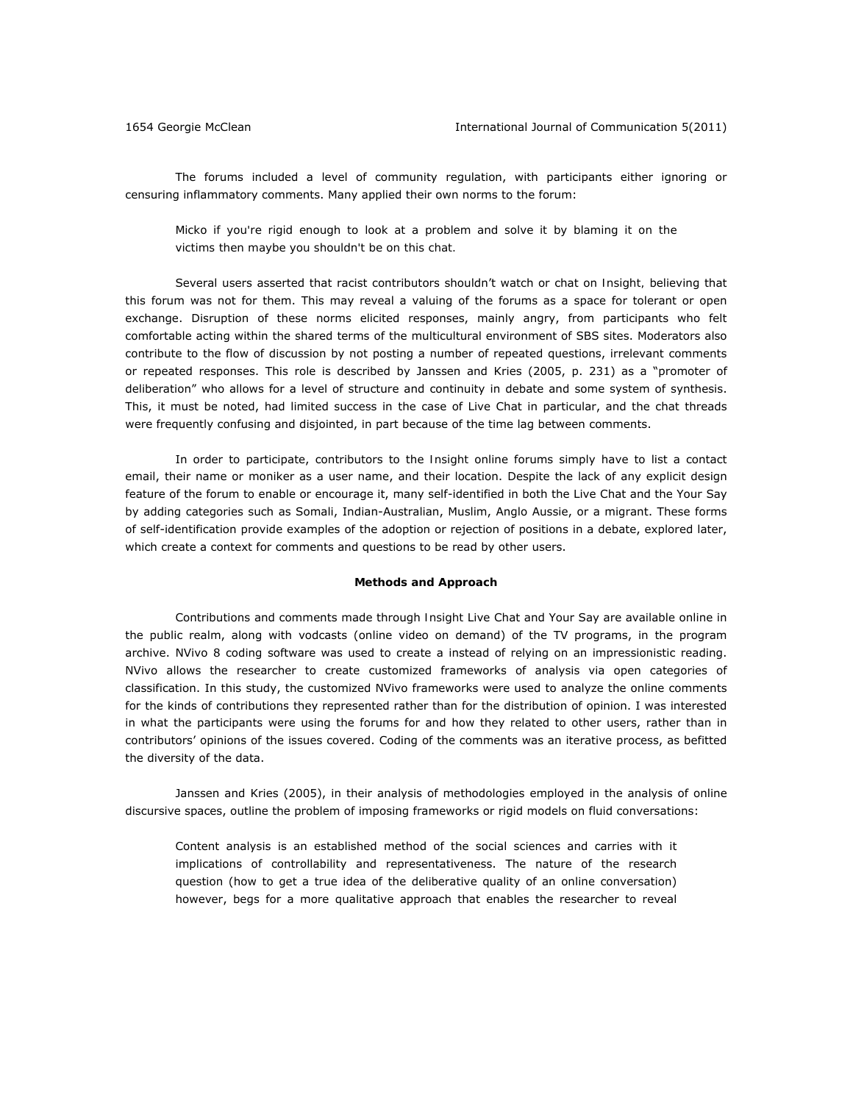The forums included a level of community regulation, with participants either ignoring or censuring inflammatory comments. Many applied their own norms to the forum:

*Micko if you're rigid enough to look at a problem and solve it by blaming it on the victims then maybe you shouldn't be on this chat.* 

Several users asserted that racist contributors shouldn't watch or chat on *Insight,* believing that this forum was not for them. This may reveal a valuing of the forums as a space for tolerant or open exchange. Disruption of these norms elicited responses, mainly angry, from participants who felt comfortable acting within the shared terms of the multicultural environment of SBS sites. Moderators also contribute to the flow of discussion by not posting a number of repeated questions, irrelevant comments or repeated responses. This role is described by Janssen and Kries (2005, p. 231) as a "promoter of deliberation" who allows for a level of structure and continuity in debate and some system of synthesis. This, it must be noted, had limited success in the case of Live Chat in particular, and the chat threads were frequently confusing and disjointed, in part because of the time lag between comments.

In order to participate, contributors to the *Insight* online forums simply have to list a contact email, their name or moniker as a user name, and their location. Despite the lack of any explicit design feature of the forum to enable or encourage it, many self-identified in both the Live Chat and the Your Say by adding categories such as Somali, Indian-Australian, Muslim, Anglo Aussie, or a migrant. These forms of self-identification provide examples of the adoption or rejection of positions in a debate, explored later, which create a context for comments and questions to be read by other users.

## **Methods and Approach**

Contributions and comments made through *Insight* Live Chat and Your Say are available online in the public realm, along with vodcasts (online video on demand) of the TV programs, in the program archive. NVivo 8 coding software was used to create a instead of relying on an impressionistic reading. NVivo allows the researcher to create customized frameworks of analysis via open categories of classification. In this study, the customized NVivo frameworks were used to analyze the online comments for the kinds of contributions they represented rather than for the distribution of opinion. I was interested in what the participants were using the forums for and how they related to other users, rather than in contributors' opinions of the issues covered. Coding of the comments was an iterative process, as befitted the diversity of the data.

Janssen and Kries (2005), in their analysis of methodologies employed in the analysis of online discursive spaces, outline the problem of imposing frameworks or rigid models on fluid conversations:

Content analysis is an established method of the social sciences and carries with it implications of controllability and representativeness. The nature of the research question (how to get a true idea of the deliberative quality of an online conversation) however, begs for a more qualitative approach that enables the researcher to reveal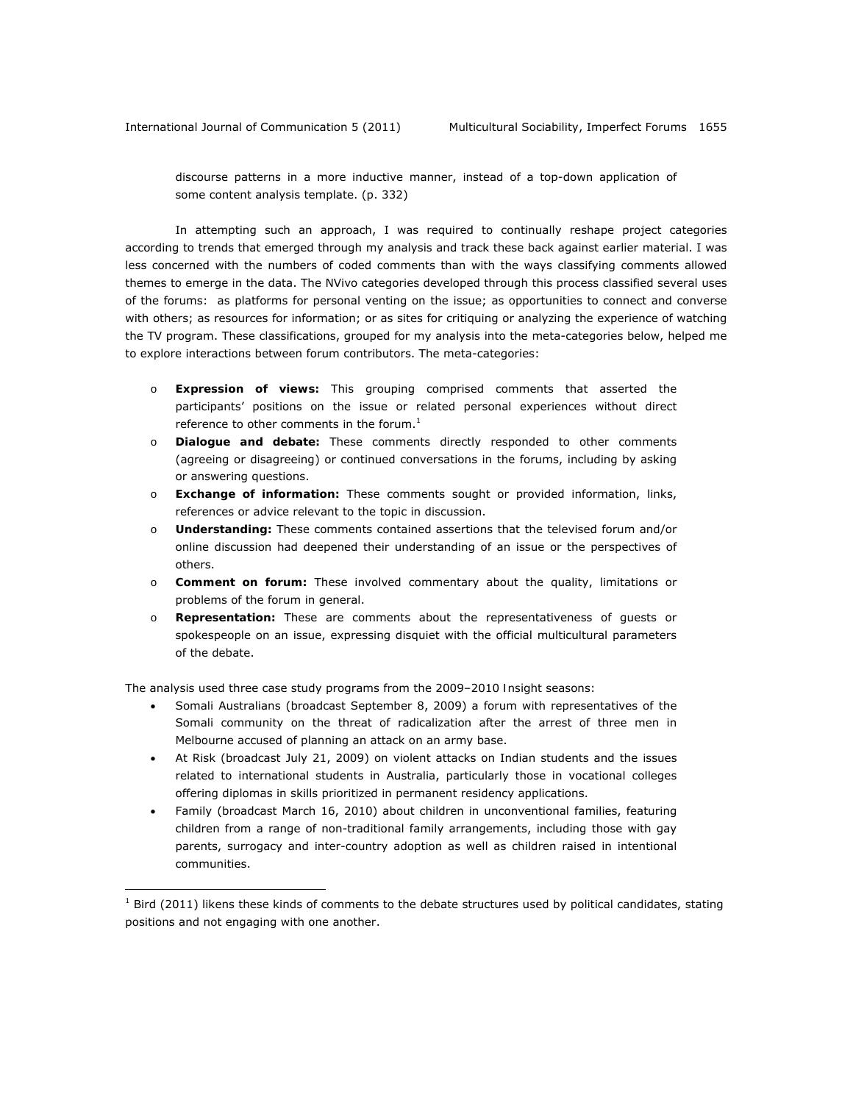discourse patterns in a more inductive manner, instead of a top-down application of some content analysis template. (p. 332)

In attempting such an approach, I was required to continually reshape project categories according to trends that emerged through my analysis and track these back against earlier material. I was less concerned with the numbers of coded comments than with the ways classifying comments allowed themes to emerge in the data. The NVivo categories developed through this process classified several uses of the forums: as platforms for personal venting on the issue; as opportunities to connect and converse with others; as resources for information; or as sites for critiquing or analyzing the experience of watching the TV program. These classifications, grouped for my analysis into the meta-categories below, helped me to explore interactions between forum contributors. The meta-categories:

- o **Expression of views:** This grouping comprised comments that asserted the participants' positions on the issue or related personal experiences without direct reference to other comments in the forum.<sup>1</sup>
- o **Dialogue and debate:** These comments directly responded to other comments (agreeing or disagreeing) or continued conversations in the forums, including by asking or answering questions.
- o **Exchange of information:** These comments sought or provided information, links, references or advice relevant to the topic in discussion.
- o **Understanding:** These comments contained assertions that the televised forum and/or online discussion had deepened their understanding of an issue or the perspectives of others.
- o **Comment on forum:** These involved commentary about the quality, limitations or problems of the forum in general.
- o **Representation:** These are comments about the representativeness of guests or spokespeople on an issue, expressing disquiet with the official multicultural parameters of the debate.

The analysis used three case study programs from the 2009–2010 *Insight* seasons:

 $\overline{a}$ 

- Somali Australians (broadcast September 8, 2009) a forum with representatives of the Somali community on the threat of radicalization after the arrest of three men in Melbourne accused of planning an attack on an army base.
- At Risk (broadcast July 21, 2009) on violent attacks on Indian students and the issues related to international students in Australia, particularly those in vocational colleges offering diplomas in skills prioritized in permanent residency applications.
- Family (broadcast March 16, 2010) about children in unconventional families, featuring children from a range of non-traditional family arrangements, including those with gay parents, surrogacy and inter-country adoption as well as children raised in intentional communities.

 $<sup>1</sup>$  Bird (2011) likens these kinds of comments to the debate structures used by political candidates, stating</sup> positions and not engaging with one another.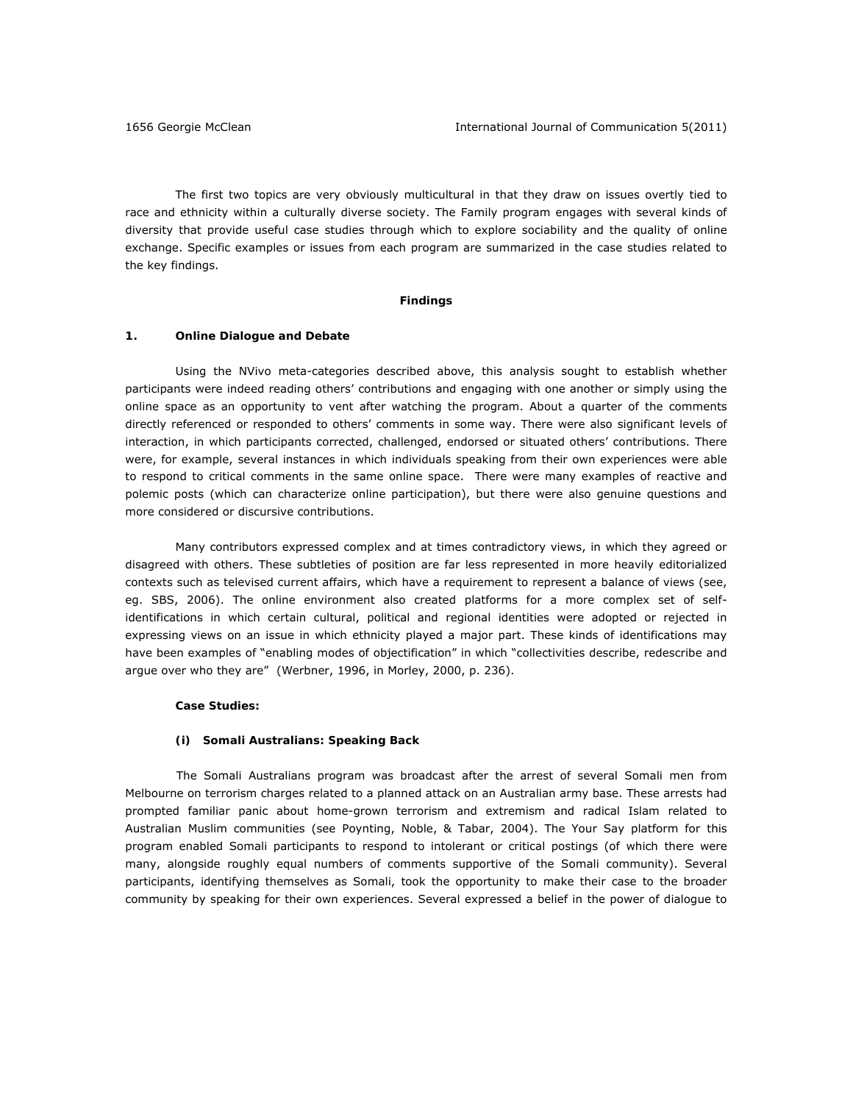The first two topics are very obviously multicultural in that they draw on issues overtly tied to race and ethnicity within a culturally diverse society. The Family program engages with several kinds of diversity that provide useful case studies through which to explore sociability and the quality of online exchange. Specific examples or issues from each program are summarized in the case studies related to the key findings.

#### **Findings**

## **1. Online Dialogue and Debate**

Using the NVivo meta-categories described above, this analysis sought to establish whether participants were indeed reading others' contributions and engaging with one another or simply using the online space as an opportunity to vent after watching the program. About a quarter of the comments directly referenced or responded to others' comments in some way. There were also significant levels of interaction, in which participants corrected, challenged, endorsed or situated others' contributions. There were, for example, several instances in which individuals speaking from their own experiences were able to respond to critical comments in the same online space. There were many examples of reactive and polemic posts (which can characterize online participation), but there were also genuine questions and more considered or discursive contributions.

Many contributors expressed complex and at times contradictory views, in which they agreed or disagreed with others. These subtleties of position are far less represented in more heavily editorialized contexts such as televised current affairs, which have a requirement to represent a balance of views (see, eg. SBS, 2006). The online environment also created platforms for a more complex set of selfidentifications in which certain cultural, political and regional identities were adopted or rejected in expressing views on an issue in which ethnicity played a major part. These kinds of identifications may have been examples of "enabling modes of objectification" in which "collectivities describe, redescribe and argue over who they are" (Werbner, 1996, in Morley, 2000, p. 236).

### **Case Studies:**

### **(i) Somali Australians: Speaking Back**

 The Somali Australians program was broadcast after the arrest of several Somali men from Melbourne on terrorism charges related to a planned attack on an Australian army base. These arrests had prompted familiar panic about home-grown terrorism and extremism and radical Islam related to Australian Muslim communities (see Poynting, Noble, & Tabar, 2004). The Your Say platform for this program enabled Somali participants to respond to intolerant or critical postings (of which there were many, alongside roughly equal numbers of comments supportive of the Somali community). Several participants, identifying themselves as Somali, took the opportunity to make their case to the broader community by speaking for their own experiences. Several expressed a belief in the power of dialogue to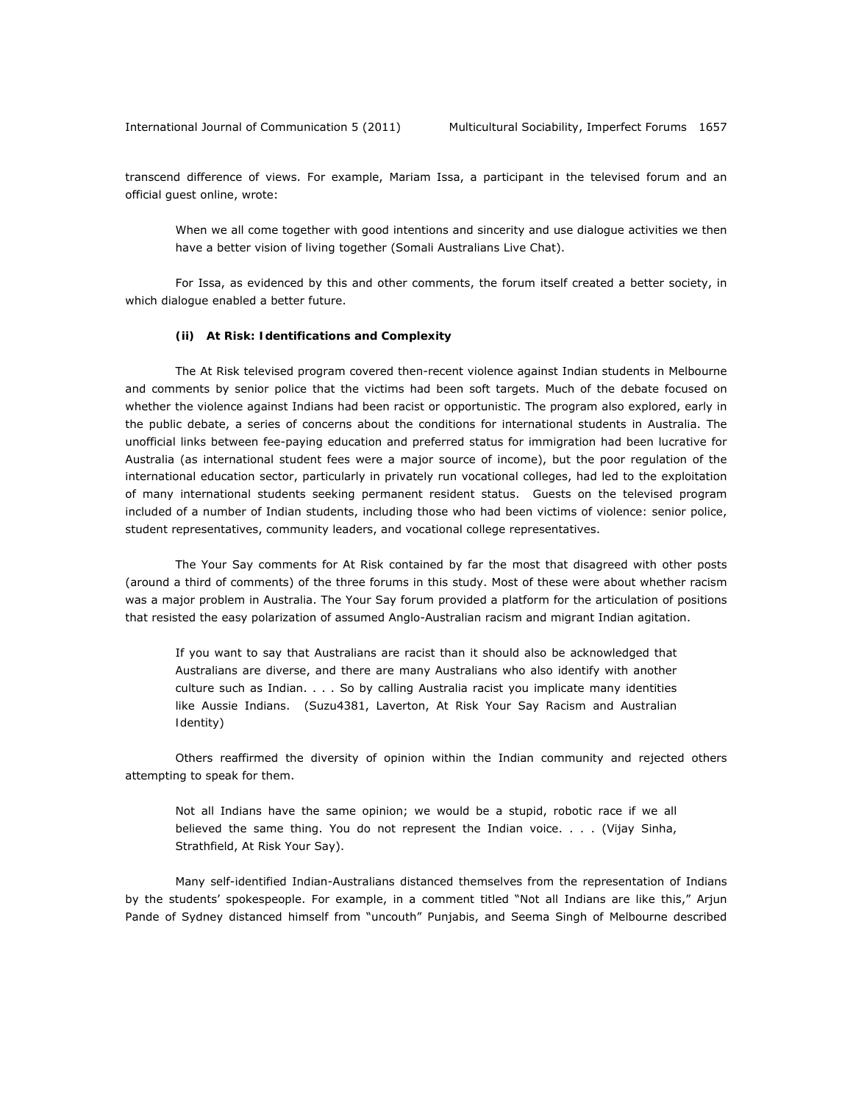transcend difference of views. For example, Mariam Issa, a participant in the televised forum and an official guest online, wrote:

When we all come together with good intentions and sincerity and use dialogue activities we then have a better vision of living together (Somali Australians Live Chat).

For Issa, as evidenced by this and other comments, the forum itself created a better society, in which dialogue enabled a better future.

#### **(ii) At Risk: Identifications and Complexity**

The At Risk televised program covered then-recent violence against Indian students in Melbourne and comments by senior police that the victims had been soft targets. Much of the debate focused on whether the violence against Indians had been racist or opportunistic. The program also explored, early in the public debate, a series of concerns about the conditions for international students in Australia. The unofficial links between fee-paying education and preferred status for immigration had been lucrative for Australia (as international student fees were a major source of income), but the poor regulation of the international education sector, particularly in privately run vocational colleges, had led to the exploitation of many international students seeking permanent resident status. Guests on the televised program included of a number of Indian students, including those who had been victims of violence: senior police, student representatives, community leaders, and vocational college representatives.

The Your Say comments for At Risk contained by far the most that disagreed with other posts (around a third of comments) of the three forums in this study. Most of these were about whether racism was a major problem in Australia. The Your Say forum provided a platform for the articulation of positions that resisted the easy polarization of assumed Anglo-Australian racism and migrant Indian agitation.

If you want to say that Australians are racist than it should also be acknowledged that Australians are diverse, and there are many Australians who also identify with another culture such as Indian. . . . So by calling Australia racist you implicate many identities like Aussie Indians. (Suzu4381, Laverton, At Risk Your Say *Racism and Australian Identity*)

Others reaffirmed the diversity of opinion within the Indian community and rejected others attempting to speak for them.

Not all Indians have the same opinion; we would be a stupid, robotic race if we all believed the same thing. You do not represent the Indian voice. . . . (Vijay Sinha, Strathfield, At Risk Your Say).

Many self-identified Indian-Australians distanced themselves from the representation of Indians by the students' spokespeople. For example, in a comment titled "Not all Indians are like this," Arjun Pande of Sydney distanced himself from "uncouth" Punjabis, and Seema Singh of Melbourne described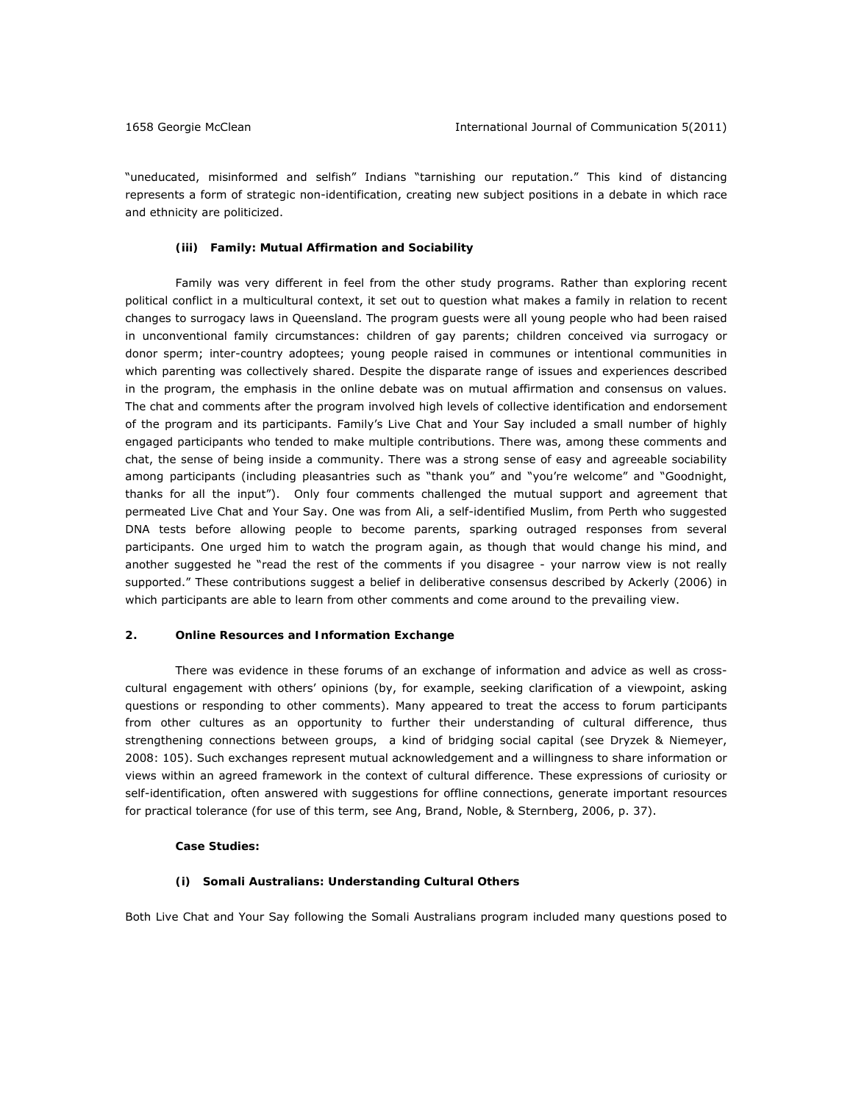"uneducated, misinformed and selfish" Indians "tarnishing our reputation." This kind of distancing represents a form of strategic non-identification, creating new subject positions in a debate in which race and ethnicity are politicized.

# **(iii) Family: Mutual Affirmation and Sociability**

Family was very different in feel from the other study programs. Rather than exploring recent political conflict in a multicultural context, it set out to question what makes a family in relation to recent changes to surrogacy laws in Queensland. The program guests were all young people who had been raised in unconventional family circumstances: children of gay parents; children conceived via surrogacy or donor sperm; inter-country adoptees; young people raised in communes or intentional communities in which parenting was collectively shared. Despite the disparate range of issues and experiences described in the program, the emphasis in the online debate was on mutual affirmation and consensus on values. The chat and comments after the program involved high levels of collective identification and endorsement of the program and its participants. Family's Live Chat and Your Say included a small number of highly engaged participants who tended to make multiple contributions. There was, among these comments and chat, the sense of being inside a community. There was a strong sense of easy and agreeable sociability among participants (including pleasantries such as "thank you" and "you're welcome" and "Goodnight, thanks for all the input"). Only four comments challenged the mutual support and agreement that permeated Live Chat and Your Say. One was from Ali, a self-identified Muslim, from Perth who suggested DNA tests before allowing people to become parents, sparking outraged responses from several participants. One urged him to watch the program again, as though that would change his mind, and another suggested he "read the rest of the comments if you disagree - your narrow view is not really supported." These contributions suggest a belief in deliberative consensus described by Ackerly (2006) in which participants are able to learn from other comments and come around to the prevailing view.

# **2. Online Resources and Information Exchange**

There was evidence in these forums of an exchange of information and advice as well as crosscultural engagement with others' opinions (by, for example, seeking clarification of a viewpoint, asking questions or responding to other comments). Many appeared to treat the access to forum participants from other cultures as an opportunity to further their understanding of cultural difference, thus strengthening connections between groups, a kind of bridging social capital (see Dryzek & Niemeyer, 2008: 105). Such exchanges represent mutual acknowledgement and a willingness to share information or views within an agreed framework in the context of cultural difference. These expressions of curiosity or self-identification, often answered with suggestions for offline connections, generate important resources for practical tolerance (for use of this term, see Ang, Brand, Noble, & Sternberg, 2006, p. 37).

## **Case Studies:**

# **(i) Somali Australians: Understanding Cultural Others**

Both Live Chat and Your Say following the Somali Australians program included many questions posed to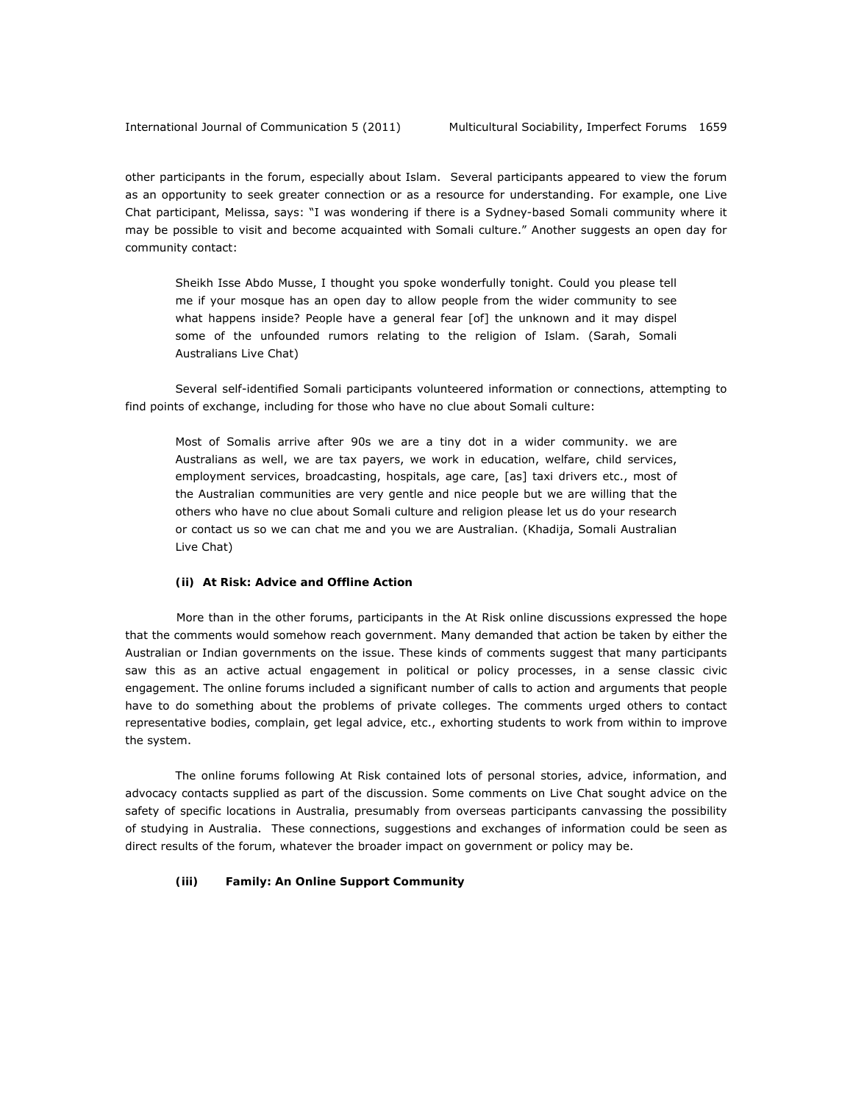other participants in the forum, especially about Islam. Several participants appeared to view the forum as an opportunity to seek greater connection or as a resource for understanding. For example, one Live Chat participant, Melissa, says: "I was wondering if there is a Sydney-based Somali community where it may be possible to visit and become acquainted with Somali culture." Another suggests an open day for community contact:

Sheikh Isse Abdo Musse, I thought you spoke wonderfully tonight. Could you please tell me if your mosque has an open day to allow people from the wider community to see what happens inside? People have a general fear [of] the unknown and it may dispel some of the unfounded rumors relating to the religion of Islam. (Sarah, Somali Australians Live Chat)

Several self-identified Somali participants volunteered information or connections, attempting to find points of exchange, including for those who have no clue about Somali culture:

Most of Somalis arrive after 90s we are a tiny dot in a wider community. we are Australians as well, we are tax payers, we work in education, welfare, child services, employment services, broadcasting, hospitals, age care, [as] taxi drivers etc., most of the Australian communities are very gentle and nice people but we are willing that the others who have no clue about Somali culture and religion please let us do your research or contact us so we can chat me and you we are Australian. (Khadija, Somali Australian Live Chat)

# **(ii) At Risk: Advice and Offline Action**

 More than in the other forums, participants in the At Risk online discussions expressed the hope that the comments would somehow reach government. Many demanded that action be taken by either the Australian or Indian governments on the issue. These kinds of comments suggest that many participants saw this as an active actual engagement in political or policy processes, in a sense classic civic engagement. The online forums included a significant number of calls to action and arguments that people have to do something about the problems of private colleges. The comments urged others to contact representative bodies, complain, get legal advice, etc., exhorting students to work from within to improve the system.

The online forums following At Risk contained lots of personal stories, advice, information, and advocacy contacts supplied as part of the discussion. Some comments on Live Chat sought advice on the safety of specific locations in Australia, presumably from overseas participants canvassing the possibility of studying in Australia. These connections, suggestions and exchanges of information could be seen as direct results of the forum, whatever the broader impact on government or policy may be.

## **(iii) Family: An Online Support Community**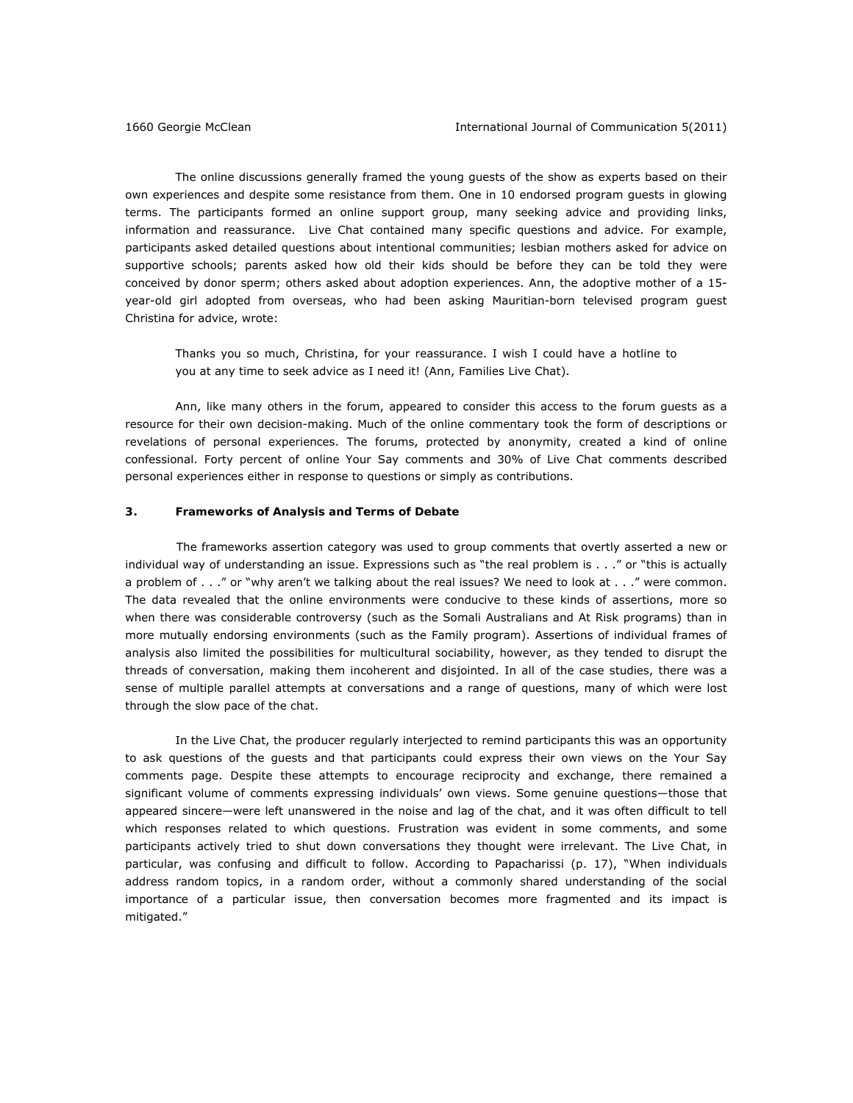The online discussions generally framed the young guests of the show as experts based on their own experiences and despite some resistance from them. One in 10 endorsed program guests in glowing terms. The participants formed an online support group, many seeking advice and providing links, information and reassurance. Live Chat contained many specific questions and advice. For example, participants asked detailed questions about intentional communities; lesbian mothers asked for advice on supportive schools; parents asked how old their kids should be before they can be told they were conceived by donor sperm; others asked about adoption experiences. Ann, the adoptive mother of a 15 year-old girl adopted from overseas, who had been asking Mauritian-born televised program guest Christina for advice, wrote:

Thanks you so much, Christina, for your reassurance. I wish I could have a hotline to you at any time to seek advice as I need it! (Ann, Families Live Chat).

Ann, like many others in the forum, appeared to consider this access to the forum guests as a resource for their own decision-making. Much of the online commentary took the form of descriptions or revelations of personal experiences. The forums, protected by anonymity, created a kind of online confessional. Forty percent of online Your Say comments and 30% of Live Chat comments described personal experiences either in response to questions or simply as contributions.

## **3. Frameworks of Analysis and Terms of Debate**

 The frameworks assertion category was used to group comments that overtly asserted a new or individual way of understanding an issue. Expressions such as "the real problem is . . ." or "this is actually a problem of . . ." or "why aren't we talking about the real issues? We need to look at . . ." were common. The data revealed that the online environments were conducive to these kinds of assertions, more so when there was considerable controversy (such as the Somali Australians and At Risk programs) than in more mutually endorsing environments (such as the Family program). Assertions of individual frames of analysis also limited the possibilities for multicultural sociability, however, as they tended to disrupt the threads of conversation, making them incoherent and disjointed. In all of the case studies, there was a sense of multiple parallel attempts at conversations and a range of questions, many of which were lost through the slow pace of the chat.

In the Live Chat, the producer regularly interjected to remind participants this was an opportunity to ask questions of the guests and that participants could express their own views on the Your Say comments page. Despite these attempts to encourage reciprocity and exchange, there remained a significant volume of comments expressing individuals' own views. Some genuine questions—those that appeared sincere—were left unanswered in the noise and lag of the chat, and it was often difficult to tell which responses related to which questions. Frustration was evident in some comments, and some participants actively tried to shut down conversations they thought were irrelevant. The Live Chat, in particular, was confusing and difficult to follow. According to Papacharissi (p. 17), "When individuals address random topics, in a random order, without a commonly shared understanding of the social importance of a particular issue, then conversation becomes more fragmented and its impact is mitigated."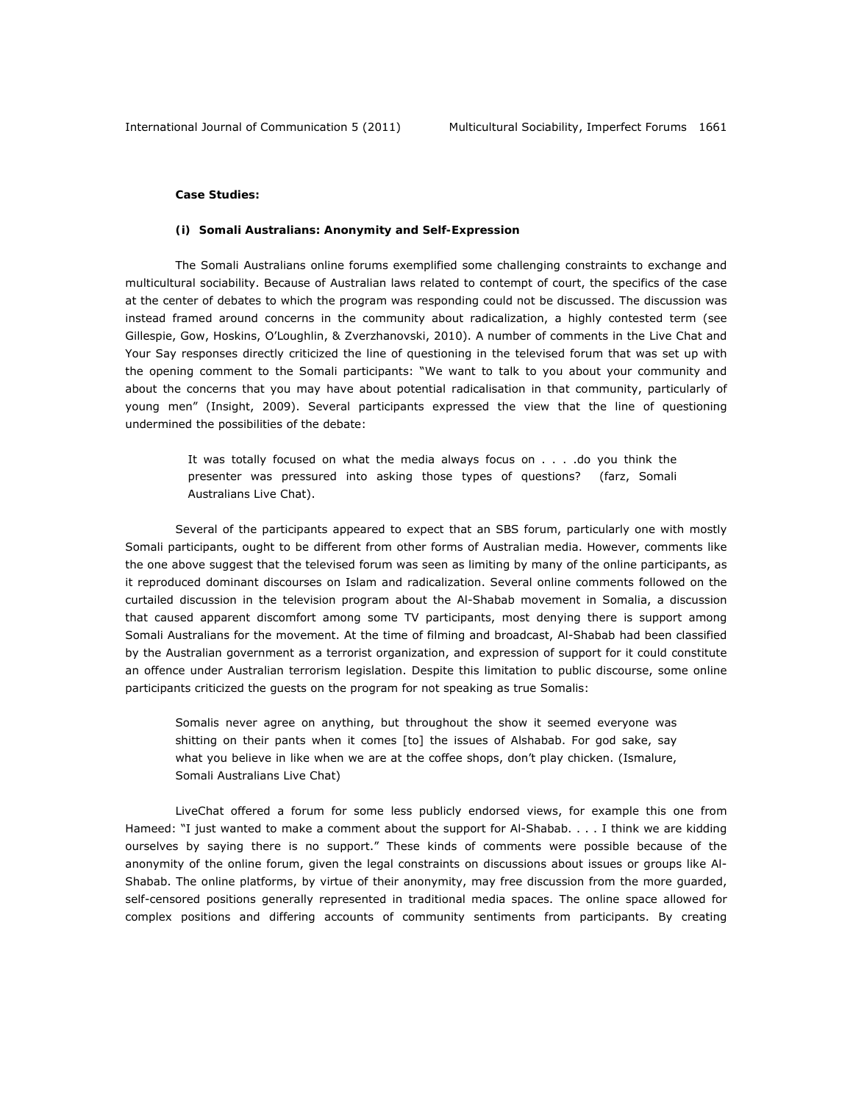#### **Case Studies:**

#### **(i) Somali Australians: Anonymity and Self-Expression**

The Somali Australians online forums exemplified some challenging constraints to exchange and multicultural sociability. Because of Australian laws related to contempt of court, the specifics of the case at the center of debates to which the program was responding could not be discussed. The discussion was instead framed around concerns in the community about radicalization, a highly contested term (see Gillespie, Gow, Hoskins, O'Loughlin, & Zverzhanovski, 2010). A number of comments in the Live Chat and Your Say responses directly criticized the line of questioning in the televised forum that was set up with the opening comment to the Somali participants: "We want to talk to you about your community and about the concerns that you may have about potential radicalisation in that community, particularly of young men" (Insight, 2009). Several participants expressed the view that the line of questioning undermined the possibilities of the debate:

> It was totally focused on what the media always focus on . . . .do you think the presenter was pressured into asking those types of questions? (farz, Somali Australians Live Chat).

Several of the participants appeared to expect that an SBS forum, particularly one with mostly Somali participants, ought to be different from other forms of Australian media. However, comments like the one above suggest that the televised forum was seen as limiting by many of the online participants, as it reproduced dominant discourses on Islam and radicalization. Several online comments followed on the curtailed discussion in the television program about the Al-Shabab movement in Somalia, a discussion that caused apparent discomfort among some TV participants, most denying there is support among Somali Australians for the movement. At the time of filming and broadcast, Al-Shabab had been classified by the Australian government as a terrorist organization, and expression of support for it could constitute an offence under Australian terrorism legislation. Despite this limitation to public discourse, some online participants criticized the guests on the program for not speaking as true Somalis:

Somalis never agree on anything, but throughout the show it seemed everyone was shitting on their pants when it comes [to] the issues of Alshabab. For god sake, say what you believe in like when we are at the coffee shops, don't play chicken. (Ismalure, Somali Australians Live Chat)

LiveChat offered a forum for some less publicly endorsed views, for example this one from Hameed: "I just wanted to make a comment about the support for Al-Shabab. . . . I think we are kidding ourselves by saying there is no support." These kinds of comments were possible because of the anonymity of the online forum, given the legal constraints on discussions about issues or groups like Al-Shabab. The online platforms, by virtue of their anonymity, may free discussion from the more guarded, self-censored positions generally represented in traditional media spaces. The online space allowed for complex positions and differing accounts of community sentiments from participants. By creating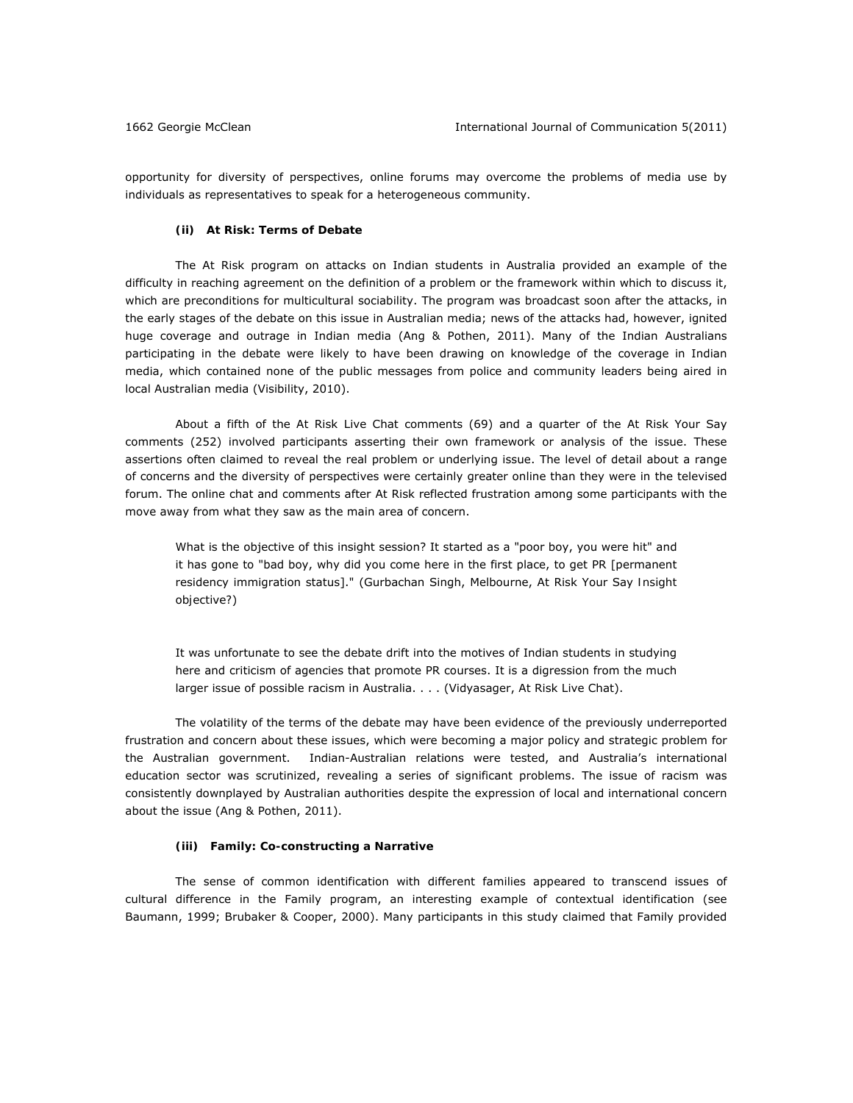opportunity for diversity of perspectives, online forums may overcome the problems of media use by individuals as representatives to speak for a heterogeneous community.

#### **(ii) At Risk: Terms of Debate**

The At Risk program on attacks on Indian students in Australia provided an example of the difficulty in reaching agreement on the definition of a problem or the framework within which to discuss it, which are preconditions for multicultural sociability. The program was broadcast soon after the attacks, in the early stages of the debate on this issue in Australian media; news of the attacks had, however, ignited huge coverage and outrage in Indian media (Ang & Pothen, 2011). Many of the Indian Australians participating in the debate were likely to have been drawing on knowledge of the coverage in Indian media, which contained none of the public messages from police and community leaders being aired in local Australian media (Visibility, 2010).

About a fifth of the At Risk Live Chat comments (69) and a quarter of the At Risk Your Say comments (252) involved participants asserting their own framework or analysis of the issue. These assertions often claimed to reveal the real problem or underlying issue. The level of detail about a range of concerns and the diversity of perspectives were certainly greater online than they were in the televised forum. The online chat and comments after At Risk reflected frustration among some participants with the move away from what they saw as the main area of concern.

What is the objective of this insight session? It started as a "poor boy, you were hit" and it has gone to "bad boy, why did you come here in the first place, to get PR [permanent residency immigration status]." (Gurbachan Singh, Melbourne, At Risk Your Say *Insight objective?*)

It was unfortunate to see the debate drift into the motives of Indian students in studying here and criticism of agencies that promote PR courses. It is a digression from the much larger issue of possible racism in Australia. . . . (Vidyasager, At Risk Live Chat).

The volatility of the terms of the debate may have been evidence of the previously underreported frustration and concern about these issues, which were becoming a major policy and strategic problem for the Australian government. Indian-Australian relations were tested, and Australia's international education sector was scrutinized, revealing a series of significant problems. The issue of racism was consistently downplayed by Australian authorities despite the expression of local and international concern about the issue (Ang & Pothen, 2011).

### **(iii) Family: Co-constructing a Narrative**

The sense of common identification with different families appeared to transcend issues of cultural difference in the Family program, an interesting example of contextual identification (see Baumann, 1999; Brubaker & Cooper, 2000). Many participants in this study claimed that Family provided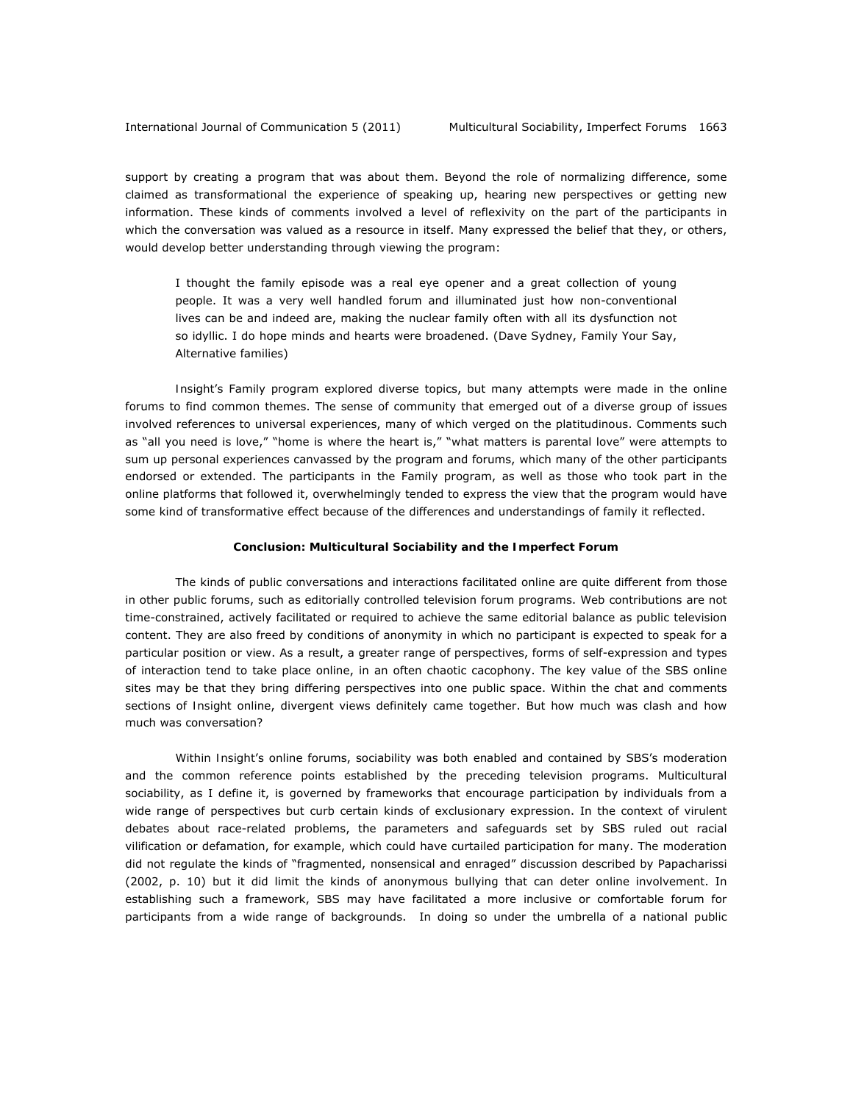support by creating a program that was about them. Beyond the role of normalizing difference, some claimed as transformational the experience of speaking up, hearing new perspectives or getting new information. These kinds of comments involved a level of reflexivity on the part of the participants in which the conversation was valued as a resource in itself. Many expressed the belief that they, or others, would develop better understanding through viewing the program:

I thought the family episode was a real eye opener and a great collection of young people. It was a very well handled forum and illuminated just how non-conventional lives can be and indeed are, making the nuclear family often with all its dysfunction not so idyllic. I do hope minds and hearts were broadened. (Dave Sydney, Family Your Say, *Alternative families*)

*Insight*'s Family program explored diverse topics, but many attempts were made in the online forums to find common themes. The sense of community that emerged out of a diverse group of issues involved references to universal experiences, many of which verged on the platitudinous. Comments such as "all you need is love," "home is where the heart is," "what matters is parental love" were attempts to sum up personal experiences canvassed by the program and forums, which many of the other participants endorsed or extended. The participants in the Family program, as well as those who took part in the online platforms that followed it, overwhelmingly tended to express the view that the program would have some kind of transformative effect because of the differences and understandings of family it reflected.

#### **Conclusion: Multicultural Sociability and the Imperfect Forum**

The kinds of public conversations and interactions facilitated online are quite different from those in other public forums, such as editorially controlled television forum programs. Web contributions are not time-constrained, actively facilitated or required to achieve the same editorial balance as public television content. They are also freed by conditions of anonymity in which no participant is expected to speak for a particular position or view. As a result, a greater range of perspectives, forms of self-expression and types of interaction tend to take place online, in an often chaotic cacophony. The key value of the SBS online sites may be that they bring differing perspectives into one public space. Within the chat and comments sections of *Insight* online, divergent views definitely came together. But how much was clash and how much was conversation?

Within *Insight*'s online forums, sociability was both enabled and contained by SBS's moderation and the common reference points established by the preceding television programs. Multicultural sociability, as I define it, is governed by frameworks that encourage participation by individuals from a wide range of perspectives but curb certain kinds of exclusionary expression. In the context of virulent debates about race-related problems, the parameters and safeguards set by SBS ruled out racial vilification or defamation, for example, which could have curtailed participation for many. The moderation did not regulate the kinds of "fragmented, nonsensical and enraged" discussion described by Papacharissi (2002, p. 10) but it did limit the kinds of anonymous bullying that can deter online involvement. In establishing such a framework, SBS may have facilitated a more inclusive or comfortable forum for participants from a wide range of backgrounds. In doing so under the umbrella of a national public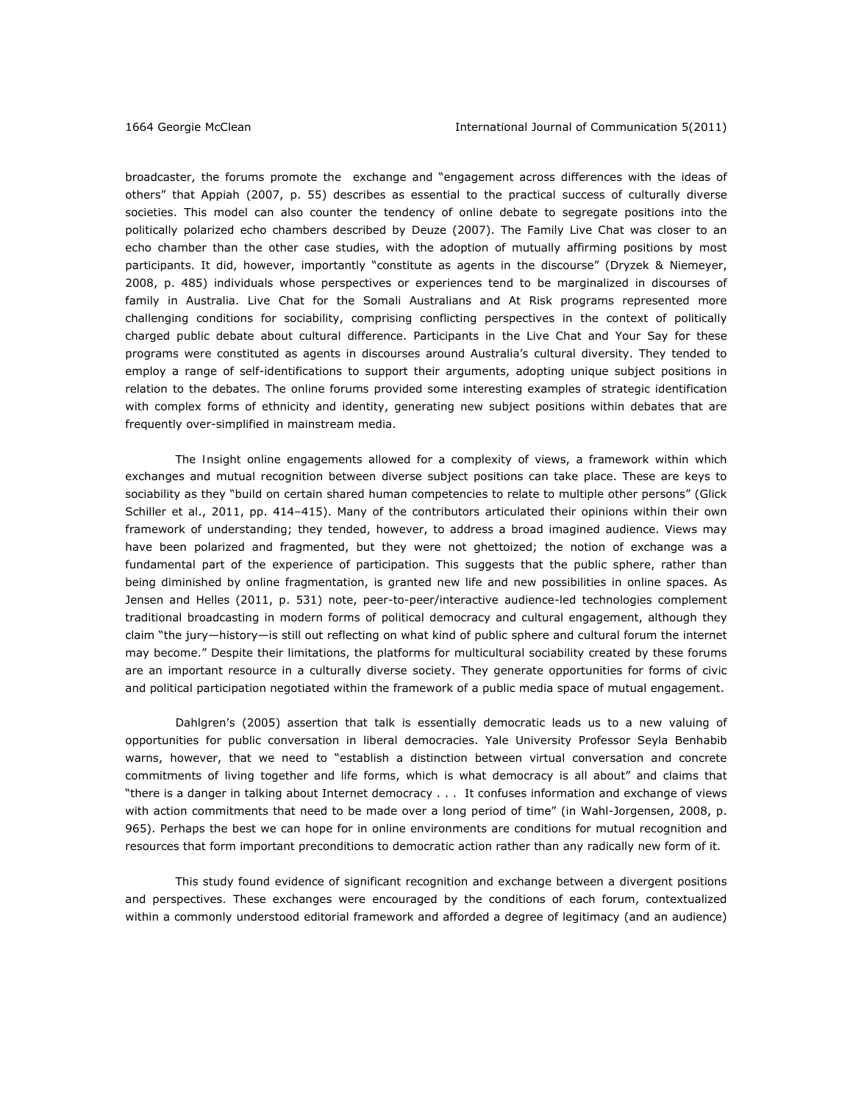broadcaster, the forums promote the exchange and "engagement across differences with the ideas of others" that Appiah (2007, p. 55) describes as essential to the practical success of culturally diverse societies. This model can also counter the tendency of online debate to segregate positions into the politically polarized echo chambers described by Deuze (2007). The Family Live Chat was closer to an echo chamber than the other case studies, with the adoption of mutually affirming positions by most participants. It did, however, importantly "constitute as agents in the discourse" (Dryzek & Niemeyer, 2008, p. 485) individuals whose perspectives or experiences tend to be marginalized in discourses of family in Australia. Live Chat for the Somali Australians and At Risk programs represented more challenging conditions for sociability, comprising conflicting perspectives in the context of politically charged public debate about cultural difference. Participants in the Live Chat and Your Say for these programs were constituted as agents in discourses around Australia's cultural diversity. They tended to employ a range of self-identifications to support their arguments, adopting unique subject positions in relation to the debates. The online forums provided some interesting examples of strategic identification with complex forms of ethnicity and identity, generating new subject positions within debates that are frequently over-simplified in mainstream media.

The *Insight* online engagements allowed for a complexity of views, a framework within which exchanges and mutual recognition between diverse subject positions can take place. These are keys to sociability as they "build on certain shared human competencies to relate to multiple other persons" (Glick Schiller et al., 2011, pp. 414–415). Many of the contributors articulated their opinions within their own framework of understanding; they tended, however, to address a broad imagined audience. Views may have been polarized and fragmented, but they were not ghettoized; the notion of exchange was a fundamental part of the experience of participation. This suggests that the public sphere, rather than being diminished by online fragmentation, is granted new life and new possibilities in online spaces. As Jensen and Helles (2011, p. 531) note, peer-to-peer/interactive audience-led technologies complement traditional broadcasting in modern forms of political democracy and cultural engagement, although they claim "the jury—history—is still out reflecting on what kind of public sphere and cultural forum the internet may become." Despite their limitations, the platforms for multicultural sociability created by these forums are an important resource in a culturally diverse society. They generate opportunities for forms of civic and political participation negotiated within the framework of a public media space of mutual engagement.

Dahlgren's (2005) assertion that talk is essentially democratic leads us to a new valuing of opportunities for public conversation in liberal democracies. Yale University Professor Seyla Benhabib warns, however, that we need to "establish a distinction between virtual conversation and concrete commitments of living together and life forms, which is what democracy is all about" and claims that "there is a danger in talking about Internet democracy . . . It confuses information and exchange of views with action commitments that need to be made over a long period of time" (in Wahl-Jorgensen, 2008, p. 965). Perhaps the best we can hope for in online environments are conditions for mutual recognition and resources that form important preconditions to democratic action rather than any radically new form of it.

This study found evidence of significant recognition and exchange between a divergent positions and perspectives*.* These exchanges were encouraged by the conditions of each forum, contextualized within a commonly understood editorial framework and afforded a degree of legitimacy (and an audience)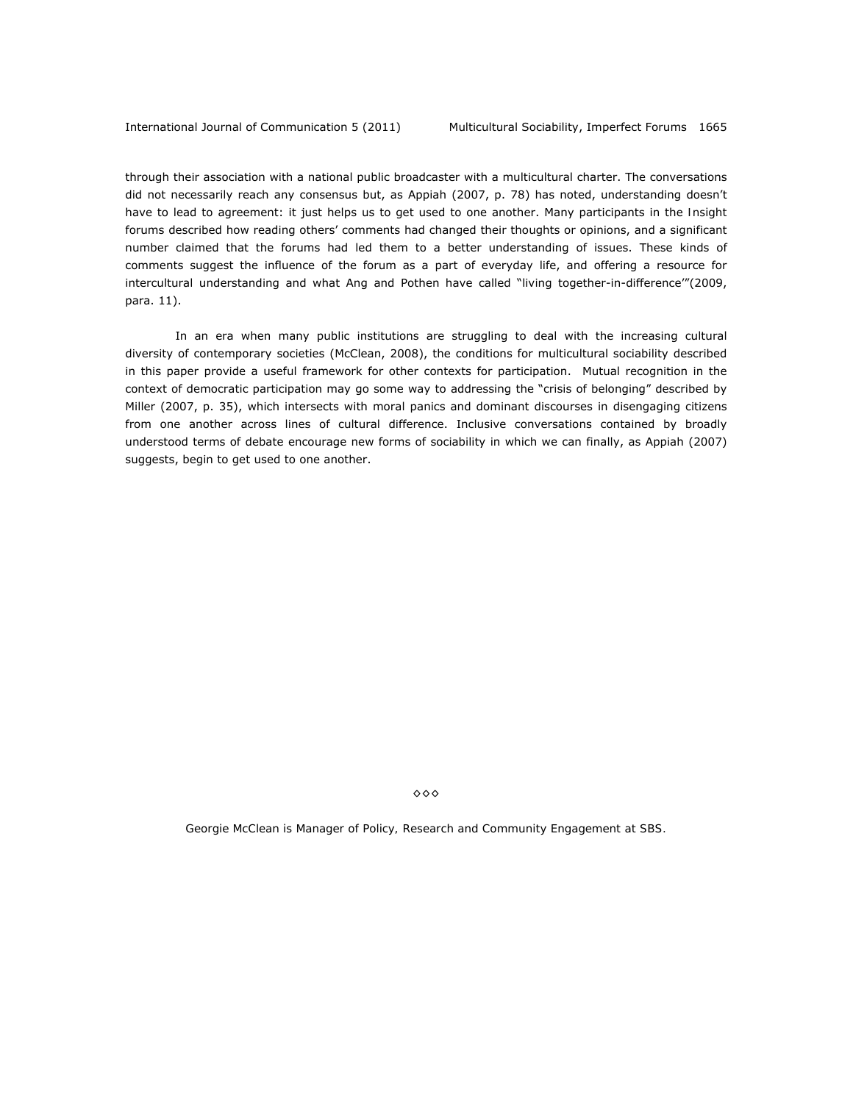through their association with a national public broadcaster with a multicultural charter. The conversations did not necessarily reach any consensus but, as Appiah (2007, p. 78) has noted, understanding doesn't have to lead to agreement: it just helps us to get used to one another. Many participants in the *Insight* forums described how reading others' comments had changed their thoughts or opinions, and a significant number claimed that the forums had led them to a better understanding of issues. These kinds of comments suggest the influence of the forum as a part of everyday life, and offering a resource for intercultural understanding and what Ang and Pothen have called "living together-in-difference'"(2009, para. 11).

In an era when many public institutions are struggling to deal with the increasing cultural diversity of contemporary societies (McClean, 2008), the conditions for multicultural sociability described in this paper provide a useful framework for other contexts for participation. Mutual recognition in the context of democratic participation may go some way to addressing the "crisis of belonging" described by Miller (2007, p. 35), which intersects with moral panics and dominant discourses in disengaging citizens from one another across lines of cultural difference. Inclusive conversations contained by broadly understood terms of debate encourage new forms of sociability in which we can finally, as Appiah (2007) suggests, begin to get used to one another.

◊◊◊

*Georgie McClean is Manager of Policy, Research and Community Engagement at SBS.*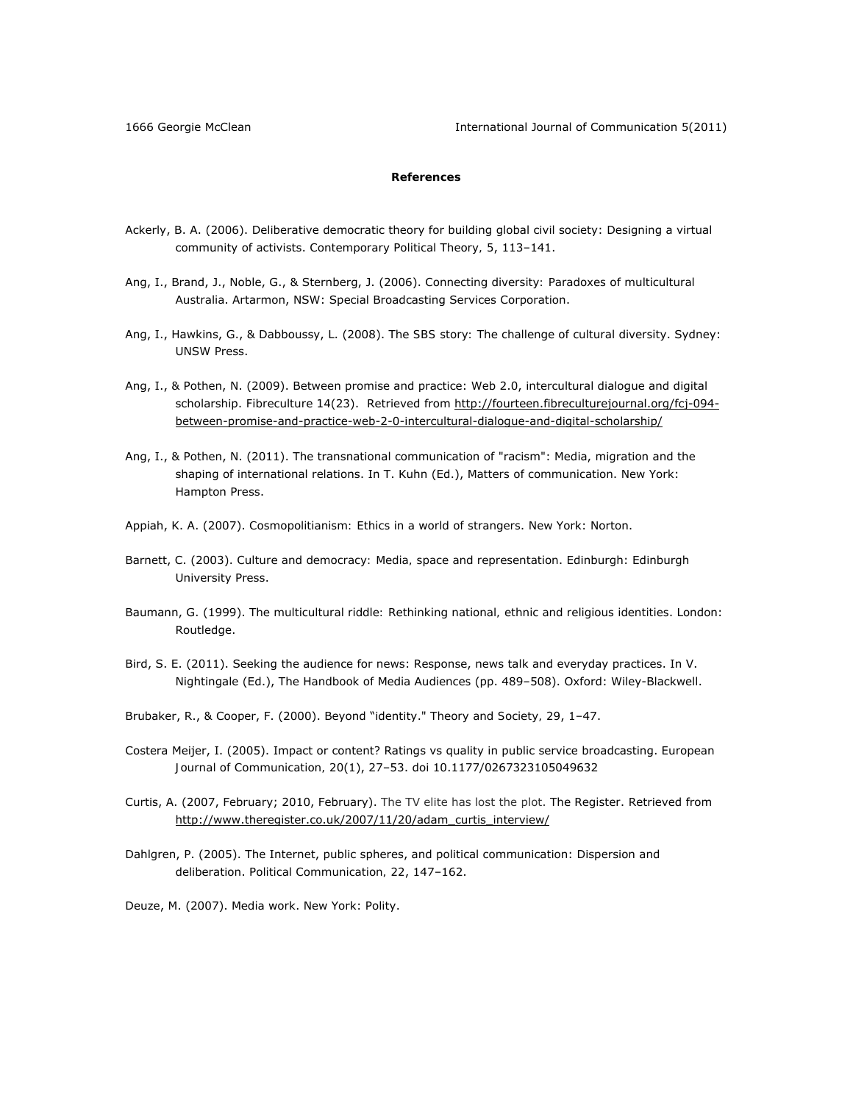1666 Georgie McClean International Journal of Communication 5(2011)

# **References**

- Ackerly, B. A. (2006). Deliberative democratic theory for building global civil society: Designing a virtual community of activists. *Contemporary Political Theory, 5*, 113–141.
- Ang, I., Brand, J., Noble, G., & Sternberg, J. (2006). *Connecting diversity: Paradoxes of multicultural Australia*. Artarmon, NSW: Special Broadcasting Services Corporation.
- Ang, I., Hawkins, G., & Dabboussy, L. (2008). *The SBS story: The challenge of cultural diversity*. Sydney: UNSW Press.
- Ang, I., & Pothen, N. (2009). Between promise and practice: Web 2.0, intercultural dialogue and digital scholarship. Fibreculture 14(23). Retrieved from http://fourteen.fibreculturejournal.org/fcj-094between-promise-and-practice-web-2-0-intercultural-dialogue-and-digital-scholarship/
- Ang, I., & Pothen, N. (2011). The transnational communication of "racism": Media, migration and the shaping of international relations. In T. Kuhn (Ed.), *Matters of communication*. New York: Hampton Press.
- Appiah, K. A. (2007). *Cosmopolitianism: Ethics in a world of strangers*. New York: Norton.
- Barnett, C. (2003). *Culture and democracy: Media, space and representation*. Edinburgh: Edinburgh University Press.
- Baumann, G. (1999). *The multicultural riddle: Rethinking national, ethnic and religious identities*. London: Routledge.
- Bird, S. E. (2011). Seeking the audience for news: Response, news talk and everyday practices. In V. Nightingale (Ed.), *The Handbook of Media Audiences* (pp. 489–508). Oxford: Wiley-Blackwell.
- Brubaker, R., & Cooper, F. (2000). Beyond "identity." *Theory and Society, 29*, 1–47.
- Costera Meijer, I. (2005). Impact or content? Ratings vs quality in public service broadcasting. *European Journal of Communication, 20*(1), 27–53. doi 10.1177/0267323105049632
- Curtis, A. (2007, February; 2010, February). The TV elite has lost the plot. *The Register*. Retrieved from http://www.theregister.co.uk/2007/11/20/adam\_curtis\_interview/
- Dahlgren, P. (2005). The Internet, public spheres, and political communication: Dispersion and deliberation. *Political Communication, 22*, 147–162.
- Deuze, M. (2007). *Media work*. New York: Polity.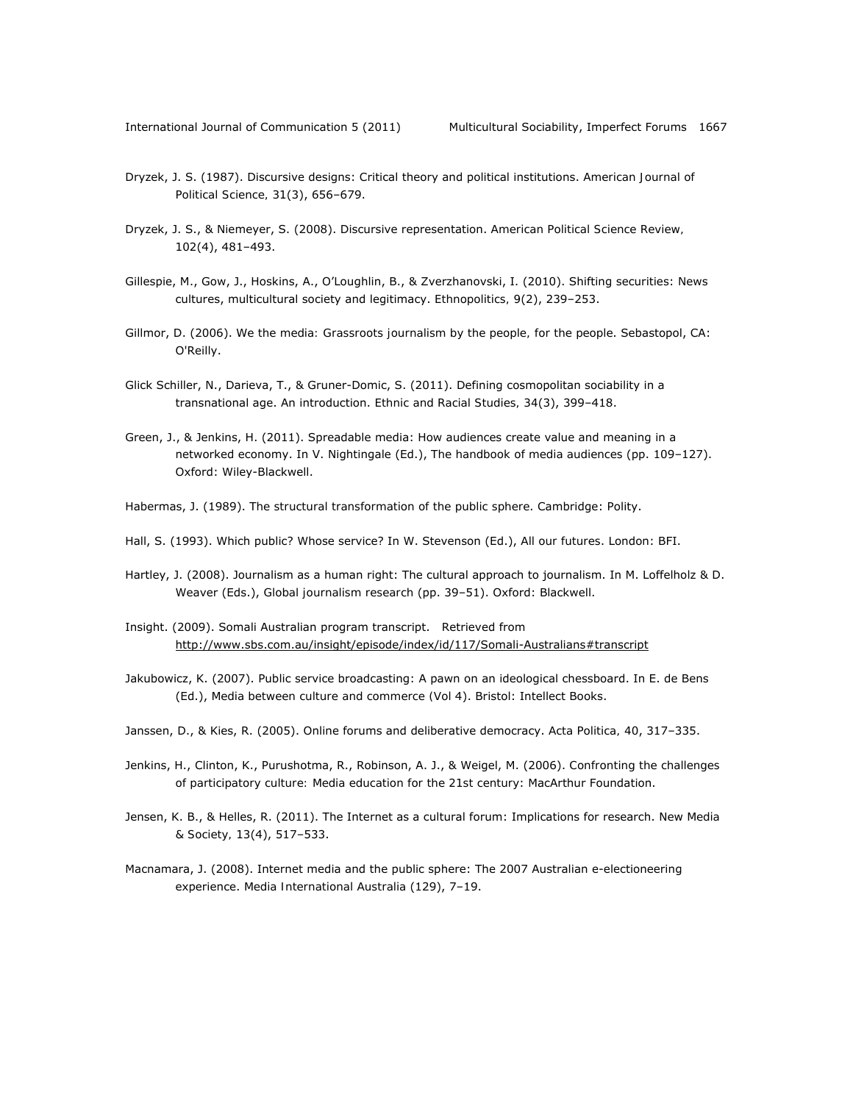- Dryzek, J. S. (1987). Discursive designs: Critical theory and political institutions. *American Journal of Political Science, 31*(3), 656–679.
- Dryzek, J. S., & Niemeyer, S. (2008). Discursive representation. *American Political Science Review, 102*(4), 481–493.
- Gillespie, M., Gow, J., Hoskins, A., O'Loughlin, B., & Zverzhanovski, I. (2010). Shifting securities: News cultures, multicultural society and legitimacy. *Ethnopolitics, 9*(2), 239–253.
- Gillmor, D. (2006). *We the media: Grassroots journalism by the people, for the people*. Sebastopol, CA: O'Reilly.
- Glick Schiller, N., Darieva, T., & Gruner-Domic, S. (2011). Defining cosmopolitan sociability in a transnational age. An introduction. *Ethnic and Racial Studies, 34*(3), 399–418.
- Green, J., & Jenkins, H. (2011). Spreadable media: How audiences create value and meaning in a networked economy. In V. Nightingale (Ed.), *The handbook of media audiences* (pp. 109–127). Oxford: Wiley-Blackwell.
- Habermas, J. (1989). *The structural transformation of the public sphere*. Cambridge: Polity.
- Hall, S. (1993). Which public? Whose service? In W. Stevenson (Ed.), *All our futures*. London: BFI.
- Hartley, J. (2008). Journalism as a human right: The cultural approach to journalism. In M. Loffelholz & D. Weaver (Eds.), *Global journalism research* (pp. 39–51). Oxford: Blackwell.
- Insight. (2009). Somali Australian program transcript. Retrieved from http://www.sbs.com.au/insight/episode/index/id/117/Somali-Australians#transcript
- Jakubowicz, K. (2007). Public service broadcasting: A pawn on an ideological chessboard. In E. de Bens (Ed.), *Media between culture and commerce (*Vol 4). Bristol: Intellect Books.
- Janssen, D., & Kies, R. (2005). Online forums and deliberative democracy. *Acta Politica, 40*, 317–335.
- Jenkins, H., Clinton, K., Purushotma, R., Robinson, A. J., & Weigel, M. (2006). *Confronting the challenges of participatory culture: Media education for the 21st century*: MacArthur Foundation.
- Jensen, K. B., & Helles, R. (2011). The Internet as a cultural forum: Implications for research. *New Media & Society, 13*(4), 517–533.
- Macnamara, J. (2008). Internet media and the public sphere: The 2007 Australian e-electioneering experience. *Media International Australia* (129), 7–19.